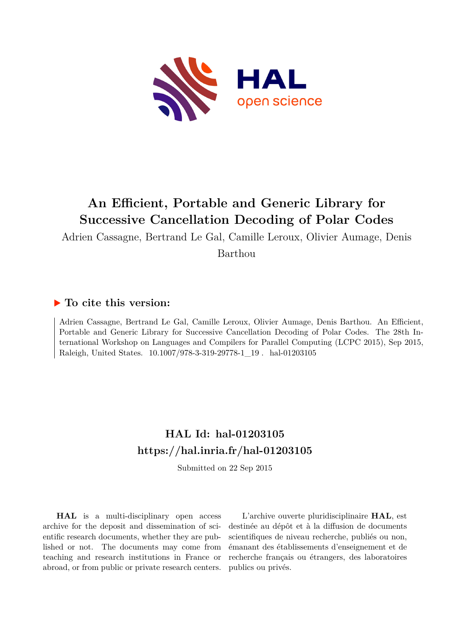

# **An Efficient, Portable and Generic Library for Successive Cancellation Decoding of Polar Codes**

Adrien Cassagne, Bertrand Le Gal, Camille Leroux, Olivier Aumage, Denis Barthou

## **To cite this version:**

Adrien Cassagne, Bertrand Le Gal, Camille Leroux, Olivier Aumage, Denis Barthou. An Efficient, Portable and Generic Library for Successive Cancellation Decoding of Polar Codes. The 28th International Workshop on Languages and Compilers for Parallel Computing (LCPC 2015), Sep 2015, Raleigh, United States. 10.1007/978-3-319-29778-1\_19 . hal-01203105

# **HAL Id: hal-01203105 <https://hal.inria.fr/hal-01203105>**

Submitted on 22 Sep 2015

**HAL** is a multi-disciplinary open access archive for the deposit and dissemination of scientific research documents, whether they are published or not. The documents may come from teaching and research institutions in France or abroad, or from public or private research centers.

L'archive ouverte pluridisciplinaire **HAL**, est destinée au dépôt et à la diffusion de documents scientifiques de niveau recherche, publiés ou non, émanant des établissements d'enseignement et de recherche français ou étrangers, des laboratoires publics ou privés.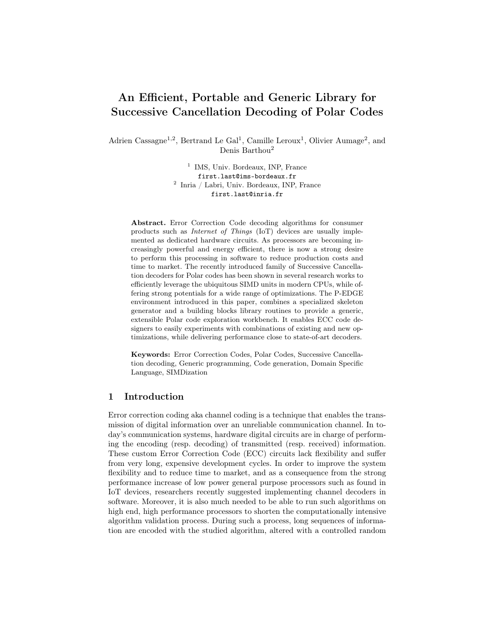## An Efficient, Portable and Generic Library for Successive Cancellation Decoding of Polar Codes

Adrien Cassagne<sup>1,2</sup>, Bertrand Le Gal<sup>1</sup>, Camille Leroux<sup>1</sup>, Olivier Aumage<sup>2</sup>, and Denis Barthou<sup>2</sup>

> <sup>1</sup> IMS, Univ. Bordeaux, INP, France first.last@ims-bordeaux.fr <sup>2</sup> Inria / Labri, Univ. Bordeaux, INP, France first.last@inria.fr

Abstract. Error Correction Code decoding algorithms for consumer products such as Internet of Things (IoT) devices are usually implemented as dedicated hardware circuits. As processors are becoming increasingly powerful and energy efficient, there is now a strong desire to perform this processing in software to reduce production costs and time to market. The recently introduced family of Successive Cancellation decoders for Polar codes has been shown in several research works to efficiently leverage the ubiquitous SIMD units in modern CPUs, while offering strong potentials for a wide range of optimizations. The P-EDGE environment introduced in this paper, combines a specialized skeleton generator and a building blocks library routines to provide a generic, extensible Polar code exploration workbench. It enables ECC code designers to easily experiments with combinations of existing and new optimizations, while delivering performance close to state-of-art decoders.

Keywords: Error Correction Codes, Polar Codes, Successive Cancellation decoding, Generic programming, Code generation, Domain Specific Language, SIMDization

#### 1 Introduction

Error correction coding aka channel coding is a technique that enables the transmission of digital information over an unreliable communication channel. In today's communication systems, hardware digital circuits are in charge of performing the encoding (resp. decoding) of transmitted (resp. received) information. These custom Error Correction Code (ECC) circuits lack flexibility and suffer from very long, expensive development cycles. In order to improve the system flexibility and to reduce time to market, and as a consequence from the strong performance increase of low power general purpose processors such as found in IoT devices, researchers recently suggested implementing channel decoders in software. Moreover, it is also much needed to be able to run such algorithms on high end, high performance processors to shorten the computationally intensive algorithm validation process. During such a process, long sequences of information are encoded with the studied algorithm, altered with a controlled random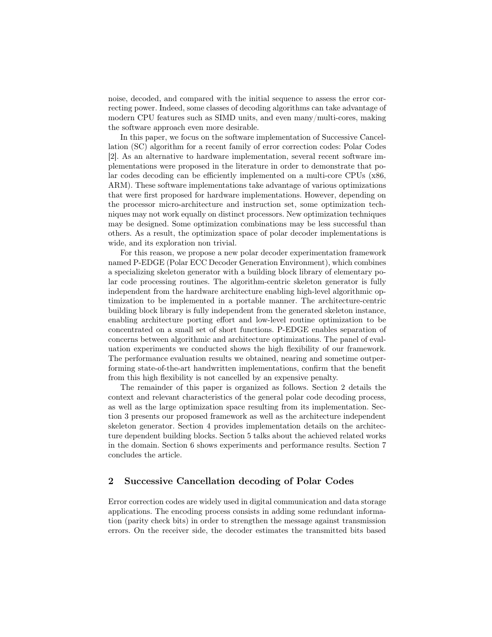noise, decoded, and compared with the initial sequence to assess the error correcting power. Indeed, some classes of decoding algorithms can take advantage of modern CPU features such as SIMD units, and even many/multi-cores, making the software approach even more desirable.

In this paper, we focus on the software implementation of Successive Cancellation (SC) algorithm for a recent family of error correction codes: Polar Codes [2]. As an alternative to hardware implementation, several recent software implementations were proposed in the literature in order to demonstrate that polar codes decoding can be efficiently implemented on a multi-core CPUs (x86, ARM). These software implementations take advantage of various optimizations that were first proposed for hardware implementations. However, depending on the processor micro-architecture and instruction set, some optimization techniques may not work equally on distinct processors. New optimization techniques may be designed. Some optimization combinations may be less successful than others. As a result, the optimization space of polar decoder implementations is wide, and its exploration non trivial.

For this reason, we propose a new polar decoder experimentation framework named P-EDGE (Polar ECC Decoder Generation Environment), which combines a specializing skeleton generator with a building block library of elementary polar code processing routines. The algorithm-centric skeleton generator is fully independent from the hardware architecture enabling high-level algorithmic optimization to be implemented in a portable manner. The architecture-centric building block library is fully independent from the generated skeleton instance, enabling architecture porting effort and low-level routine optimization to be concentrated on a small set of short functions. P-EDGE enables separation of concerns between algorithmic and architecture optimizations. The panel of evaluation experiments we conducted shows the high flexibility of our framework. The performance evaluation results we obtained, nearing and sometime outperforming state-of-the-art handwritten implementations, confirm that the benefit from this high flexibility is not cancelled by an expensive penalty.

The remainder of this paper is organized as follows. Section 2 details the context and relevant characteristics of the general polar code decoding process, as well as the large optimization space resulting from its implementation. Section 3 presents our proposed framework as well as the architecture independent skeleton generator. Section 4 provides implementation details on the architecture dependent building blocks. Section 5 talks about the achieved related works in the domain. Section 6 shows experiments and performance results. Section 7 concludes the article.

### 2 Successive Cancellation decoding of Polar Codes

Error correction codes are widely used in digital communication and data storage applications. The encoding process consists in adding some redundant information (parity check bits) in order to strengthen the message against transmission errors. On the receiver side, the decoder estimates the transmitted bits based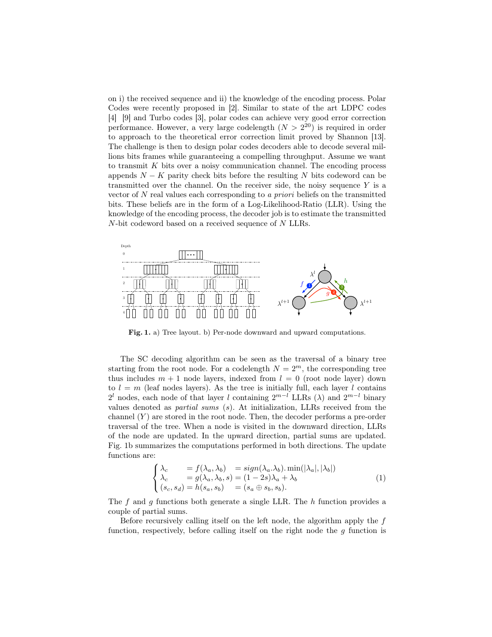on i) the received sequence and ii) the knowledge of the encoding process. Polar Codes were recently proposed in [2]. Similar to state of the art LDPC codes [4] [9] and Turbo codes [3], polar codes can achieve very good error correction performance. However, a very large codelength  $(N > 2<sup>20</sup>)$  is required in order to approach to the theoretical error correction limit proved by Shannon [13]. The challenge is then to design polar codes decoders able to decode several millions bits frames while guaranteeing a compelling throughput. Assume we want to transmit  $K$  bits over a noisy communication channel. The encoding process appends  $N - K$  parity check bits before the resulting N bits codeword can be transmitted over the channel. On the receiver side, the noisy sequence  $Y$  is a vector of  $N$  real values each corresponding to  $a$  priori beliefs on the transmitted bits. These beliefs are in the form of a Log-Likelihood-Ratio (LLR). Using the knowledge of the encoding process, the decoder job is to estimate the transmitted N-bit codeword based on a received sequence of N LLRs.



Fig. 1. a) Tree layout. b) Per-node downward and upward computations.

The SC decoding algorithm can be seen as the traversal of a binary tree starting from the root node. For a codelength  $N = 2<sup>m</sup>$ , the corresponding tree thus includes  $m + 1$  node layers, indexed from  $l = 0$  (root node layer) down to  $l = m$  (leaf nodes layers). As the tree is initially full, each layer l contains  $2^{l}$  nodes, each node of that layer l containing  $2^{m-l}$  LLRs ( $\lambda$ ) and  $2^{m-l}$  binary values denoted as *partial sums*  $(s)$ . At initialization, LLRs received from the channel  $(Y)$  are stored in the root node. Then, the decoder performs a pre-order traversal of the tree. When a node is visited in the downward direction, LLRs of the node are updated. In the upward direction, partial sums are updated. Fig. 1b summarizes the computations performed in both directions. The update functions are:

$$
\begin{cases}\n\lambda_c &= f(\lambda_a, \lambda_b) = sign(\lambda_a, \lambda_b) \cdot \min(|\lambda_a|, |\lambda_b|) \\
\lambda_c &= g(\lambda_a, \lambda_b, s) = (1 - 2s)\lambda_a + \lambda_b \\
(s_c, s_d) = h(s_a, s_b) &= (s_a \oplus s_b, s_b).\n\end{cases}
$$
\n(1)

The f and q functions both generate a single LLR. The h function provides a couple of partial sums.

Before recursively calling itself on the left node, the algorithm apply the  $f$ function, respectively, before calling itself on the right node the  $g$  function is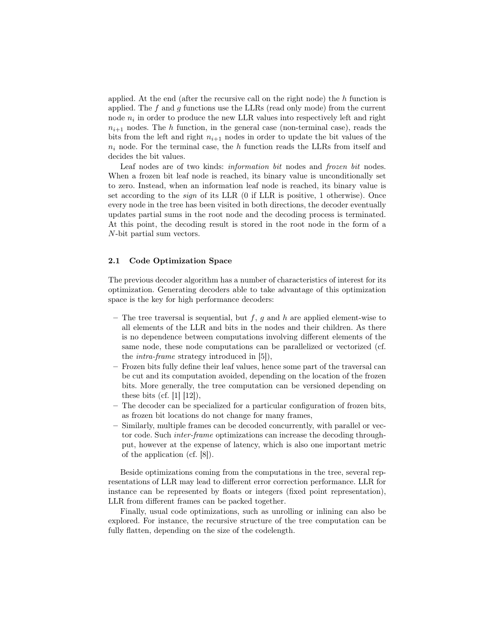applied. At the end (after the recursive call on the right node) the  $h$  function is applied. The f and g functions use the LLRs (read only mode) from the current node  $n_i$  in order to produce the new LLR values into respectively left and right  $n_{i+1}$  nodes. The h function, in the general case (non-terminal case), reads the bits from the left and right  $n_{i+1}$  nodes in order to update the bit values of the  $n_i$  node. For the terminal case, the h function reads the LLRs from itself and decides the bit values.

Leaf nodes are of two kinds: information bit nodes and frozen bit nodes. When a frozen bit leaf node is reached, its binary value is unconditionally set to zero. Instead, when an information leaf node is reached, its binary value is set according to the sign of its LLR (0 if LLR is positive, 1 otherwise). Once every node in the tree has been visited in both directions, the decoder eventually updates partial sums in the root node and the decoding process is terminated. At this point, the decoding result is stored in the root node in the form of a N-bit partial sum vectors.

#### 2.1 Code Optimization Space

The previous decoder algorithm has a number of characteristics of interest for its optimization. Generating decoders able to take advantage of this optimization space is the key for high performance decoders:

- The tree traversal is sequential, but  $f, g$  and h are applied element-wise to all elements of the LLR and bits in the nodes and their children. As there is no dependence between computations involving different elements of the same node, these node computations can be parallelized or vectorized (cf. the intra-frame strategy introduced in [5]),
- Frozen bits fully define their leaf values, hence some part of the traversal can be cut and its computation avoided, depending on the location of the frozen bits. More generally, the tree computation can be versioned depending on these bits (cf.  $[1]$   $[12]$ ),
- The decoder can be specialized for a particular configuration of frozen bits, as frozen bit locations do not change for many frames,
- Similarly, multiple frames can be decoded concurrently, with parallel or vector code. Such inter-frame optimizations can increase the decoding throughput, however at the expense of latency, which is also one important metric of the application (cf. [8]).

Beside optimizations coming from the computations in the tree, several representations of LLR may lead to different error correction performance. LLR for instance can be represented by floats or integers (fixed point representation), LLR from different frames can be packed together.

Finally, usual code optimizations, such as unrolling or inlining can also be explored. For instance, the recursive structure of the tree computation can be fully flatten, depending on the size of the codelength.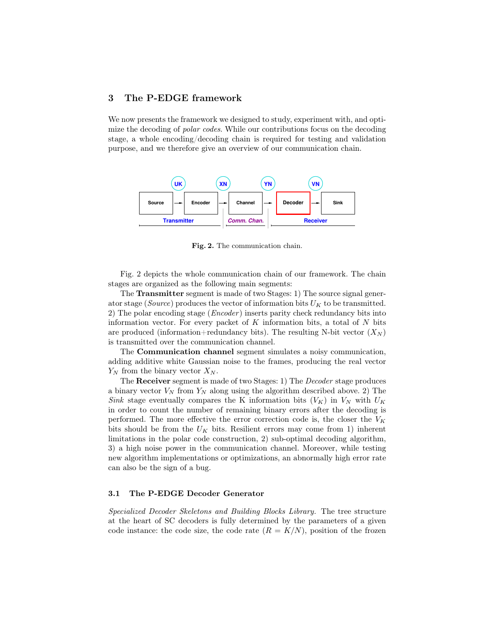### 3 The P-EDGE framework

We now presents the framework we designed to study, experiment with, and optimize the decoding of *polar codes*. While our contributions focus on the decoding stage, a whole encoding/decoding chain is required for testing and validation purpose, and we therefore give an overview of our communication chain.



Fig. 2. The communication chain.

Fig. 2 depicts the whole communication chain of our framework. The chain stages are organized as the following main segments:

The Transmitter segment is made of two Stages: 1) The source signal generator stage (Source) produces the vector of information bits  $U_K$  to be transmitted. 2) The polar encoding stage  $(Encoder)$  inserts parity check redundancy bits into information vector. For every packet of  $K$  information bits, a total of  $N$  bits are produced (information+redundancy bits). The resulting N-bit vector  $(X_N)$ is transmitted over the communication channel.

The Communication channel segment simulates a noisy communication, adding additive white Gaussian noise to the frames, producing the real vector  $Y_N$  from the binary vector  $X_N$ .

The Receiver segment is made of two Stages: 1) The Decoder stage produces a binary vector  $V_N$  from  $Y_N$  along using the algorithm described above. 2) The Sink stage eventually compares the K information bits  $(V_K)$  in  $V_N$  with  $U_K$ in order to count the number of remaining binary errors after the decoding is performed. The more effective the error correction code is, the closer the  $V_K$ bits should be from the  $U_K$  bits. Resilient errors may come from 1) inherent limitations in the polar code construction, 2) sub-optimal decoding algorithm, 3) a high noise power in the communication channel. Moreover, while testing new algorithm implementations or optimizations, an abnormally high error rate can also be the sign of a bug.

#### 3.1 The P-EDGE Decoder Generator

Specialized Decoder Skeletons and Building Blocks Library. The tree structure at the heart of SC decoders is fully determined by the parameters of a given code instance: the code size, the code rate  $(R = K/N)$ , position of the frozen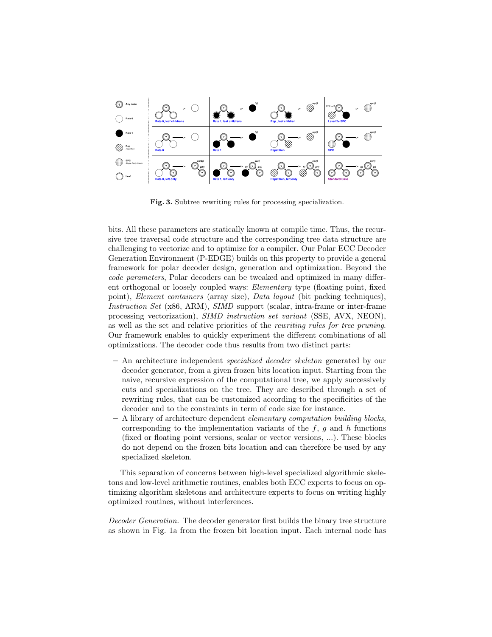

Fig. 3. Subtree rewriting rules for processing specialization.

bits. All these parameters are statically known at compile time. Thus, the recursive tree traversal code structure and the corresponding tree data structure are challenging to vectorize and to optimize for a compiler. Our Polar ECC Decoder Generation Environment (P-EDGE) builds on this property to provide a general framework for polar decoder design, generation and optimization. Beyond the code parameters, Polar decoders can be tweaked and optimized in many different orthogonal or loosely coupled ways: Elementary type (floating point, fixed point), Element containers (array size), Data layout (bit packing techniques), Instruction Set (x86, ARM), SIMD support (scalar, intra-frame or inter-frame processing vectorization), SIMD instruction set variant (SSE, AVX, NEON), as well as the set and relative priorities of the rewriting rules for tree pruning. Our framework enables to quickly experiment the different combinations of all optimizations. The decoder code thus results from two distinct parts:

- An architecture independent specialized decoder skeleton generated by our decoder generator, from a given frozen bits location input. Starting from the naive, recursive expression of the computational tree, we apply successively cuts and specializations on the tree. They are described through a set of rewriting rules, that can be customized according to the specificities of the decoder and to the constraints in term of code size for instance.
- $-$  A library of architecture dependent *elementary computation building blocks*, corresponding to the implementation variants of the  $f, g$  and h functions (fixed or floating point versions, scalar or vector versions, ...). These blocks do not depend on the frozen bits location and can therefore be used by any specialized skeleton.

This separation of concerns between high-level specialized algorithmic skeletons and low-level arithmetic routines, enables both ECC experts to focus on optimizing algorithm skeletons and architecture experts to focus on writing highly optimized routines, without interferences.

Decoder Generation. The decoder generator first builds the binary tree structure as shown in Fig. 1a from the frozen bit location input. Each internal node has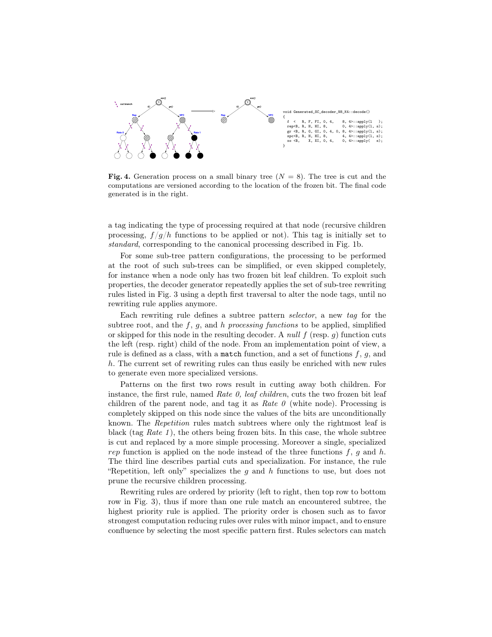

Fig. 4. Generation process on a small binary tree  $(N = 8)$ . The tree is cut and the computations are versioned according to the location of the frozen bit. The final code generated is in the right.

a tag indicating the type of processing required at that node (recursive children processing,  $f/g/h$  functions to be applied or not). This tag is initially set to standard, corresponding to the canonical processing described in Fig. 1b.

For some sub-tree pattern configurations, the processing to be performed at the root of such sub-trees can be simplified, or even skipped completely, for instance when a node only has two frozen bit leaf children. To exploit such properties, the decoder generator repeatedly applies the set of sub-tree rewriting rules listed in Fig. 3 using a depth first traversal to alter the node tags, until no rewriting rule applies anymore.

Each rewriting rule defines a subtree pattern selector, a new tag for the subtree root, and the f, g, and h processing functions to be applied, simplified or skipped for this node in the resulting decoder. A *null f* (resp.  $g$ ) function cuts the left (resp. right) child of the node. From an implementation point of view, a rule is defined as a class, with a match function, and a set of functions  $f, g$ , and h. The current set of rewriting rules can thus easily be enriched with new rules to generate even more specialized versions.

Patterns on the first two rows result in cutting away both children. For instance, the first rule, named Rate 0, leaf children, cuts the two frozen bit leaf children of the parent node, and tag it as Rate  $\theta$  (white node). Processing is completely skipped on this node since the values of the bits are unconditionally known. The Repetition rules match subtrees where only the rightmost leaf is black (tag Rate 1), the others being frozen bits. In this case, the whole subtree is cut and replaced by a more simple processing. Moreover a single, specialized rep function is applied on the node instead of the three functions  $f, g$  and h. The third line describes partial cuts and specialization. For instance, the rule "Repetition, left only" specializes the q and h functions to use, but does not prune the recursive children processing.

Rewriting rules are ordered by priority (left to right, then top row to bottom row in Fig. 3), thus if more than one rule match an encountered subtree, the highest priority rule is applied. The priority order is chosen such as to favor strongest computation reducing rules over rules with minor impact, and to ensure confluence by selecting the most specific pattern first. Rules selectors can match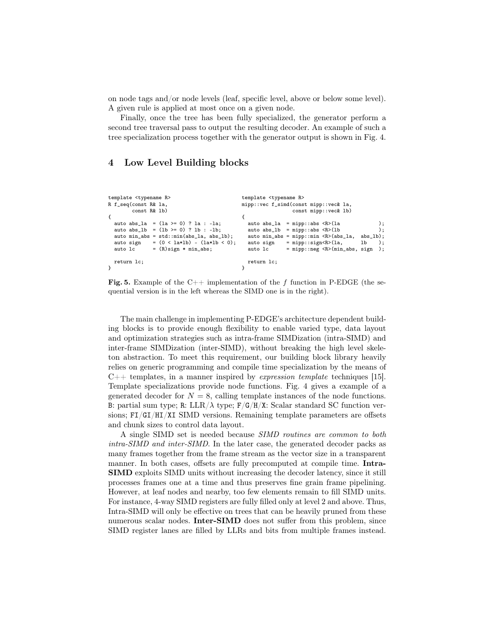on node tags and/or node levels (leaf, specific level, above or below some level). A given rule is applied at most once on a given node.

Finally, once the tree has been fully specialized, the generator perform a second tree traversal pass to output the resulting decoder. An example of such a tree specialization process together with the generator output is shown in Fig. 4.

### 4 Low Level Building blocks

```
template <typename R>
R f_seq(const R& la,
        const R& lb)
{
  auto abs_la = (\text{la} > = 0) ? la : -la;
  auto abs_l = (lb \ge 0) ? lb : -lb;
  auto min_abs = std::min(abs_la, abs_lb);<br>auto sign = (0 < 1a*1b) - (1a*1b < 0)= (0 \lt \text{la}^* \cdot \text{la}) - (\text{la}^* \cdot \text{la});
  auto lc = (R)sign * min_abs;
  return lc;
}
                                                     template <typename R>
                                                     mipp::vec f_simd(const mipp::vec& la,
                                                                         const mipp::vec& lb)
                                                     {
                                                       auto abs_la = min : abs \langle R \rangle (la );
                                                       auto abs_lb = \min : abs <R>(lb );
                                                       auto min_abs = mipp::min <R>(abs_la, abs_lb);<br>auto sign = mipp::sign<R>(la, lb);
                                                                     = mipp::sign <R>(la, lb );
                                                       auto lc = mipp::neg <R>(min_abs, sign );
                                                       return lc;
                                                     }
```
**Fig. 5.** Example of the C++ implementation of the f function in P-EDGE (the sequential version is in the left whereas the SIMD one is in the right).

The main challenge in implementing P-EDGE's architecture dependent building blocks is to provide enough flexibility to enable varied type, data layout and optimization strategies such as intra-frame SIMDization (intra-SIMD) and inter-frame SIMDization (inter-SIMD), without breaking the high level skeleton abstraction. To meet this requirement, our building block library heavily relies on generic programming and compile time specialization by the means of  $C++$  templates, in a manner inspired by *expression template* techniques [15]. Template specializations provide node functions. Fig. 4 gives a example of a generated decoder for  $N = 8$ , calling template instances of the node functions. B: partial sum type; R: LLR/ $\lambda$  type; F/G/H/X: Scalar standard SC function versions; FI/GI/HI/XI SIMD versions. Remaining template parameters are offsets and chunk sizes to control data layout.

A single SIMD set is needed because SIMD routines are common to both intra-SIMD and inter-SIMD. In the later case, the generated decoder packs as many frames together from the frame stream as the vector size in a transparent manner. In both cases, offsets are fully precomputed at compile time. Intra-SIMD exploits SIMD units without increasing the decoder latency, since it still processes frames one at a time and thus preserves fine grain frame pipelining. However, at leaf nodes and nearby, too few elements remain to fill SIMD units. For instance, 4-way SIMD registers are fully filled only at level 2 and above. Thus, Intra-SIMD will only be effective on trees that can be heavily pruned from these numerous scalar nodes. Inter-SIMD does not suffer from this problem, since SIMD register lanes are filled by LLRs and bits from multiple frames instead.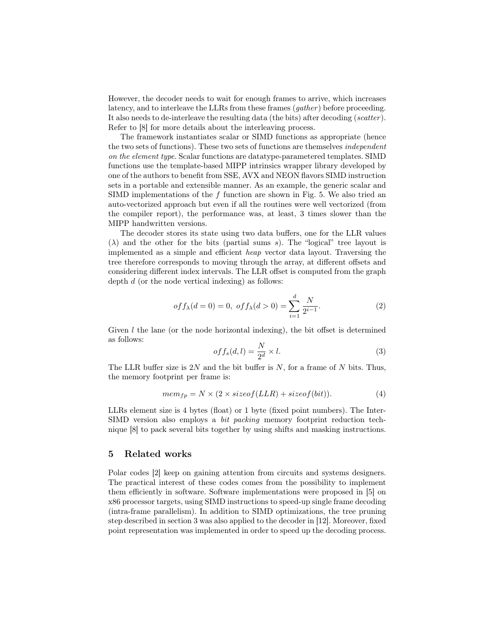However, the decoder needs to wait for enough frames to arrive, which increases latency, and to interleave the LLRs from these frames (gather ) before proceeding. It also needs to de-interleave the resulting data (the bits) after decoding  $(scatter)$ . Refer to [8] for more details about the interleaving process.

The framework instantiates scalar or SIMD functions as appropriate (hence the two sets of functions). These two sets of functions are themselves independent on the element type. Scalar functions are datatype-parametered templates. SIMD functions use the template-based MIPP intrinsics wrapper library developed by one of the authors to benefit from SSE, AVX and NEON flavors SIMD instruction sets in a portable and extensible manner. As an example, the generic scalar and SIMD implementations of the  $f$  function are shown in Fig. 5. We also tried an auto-vectorized approach but even if all the routines were well vectorized (from the compiler report), the performance was, at least, 3 times slower than the MIPP handwritten versions.

The decoder stores its state using two data buffers, one for the LLR values  $(\lambda)$  and the other for the bits (partial sums s). The "logical" tree layout is implemented as a simple and efficient heap vector data layout. Traversing the tree therefore corresponds to moving through the array, at different offsets and considering different index intervals. The LLR offset is computed from the graph depth  $d$  (or the node vertical indexing) as follows:

$$
off_{\lambda}(d=0) = 0, \; off_{\lambda}(d>0) = \sum_{i=1}^{d} \frac{N}{2^{i-1}}.
$$
 (2)

Given  $l$  the lane (or the node horizontal indexing), the bit offset is determined as follows:

$$
off_s(d, l) = \frac{N}{2^d} \times l. \tag{3}
$$

The LLR buffer size is  $2N$  and the bit buffer is N, for a frame of N bits. Thus, the memory footprint per frame is:

$$
mem_{fp} = N \times (2 \times sizeof(LLR) + sizeof(bit)). \tag{4}
$$

LLRs element size is 4 bytes (float) or 1 byte (fixed point numbers). The Inter-SIMD version also employs a bit packing memory footprint reduction technique [8] to pack several bits together by using shifts and masking instructions.

#### 5 Related works

Polar codes [2] keep on gaining attention from circuits and systems designers. The practical interest of these codes comes from the possibility to implement them efficiently in software. Software implementations were proposed in [5] on x86 processor targets, using SIMD instructions to speed-up single frame decoding (intra-frame parallelism). In addition to SIMD optimizations, the tree pruning step described in section 3 was also applied to the decoder in [12]. Moreover, fixed point representation was implemented in order to speed up the decoding process.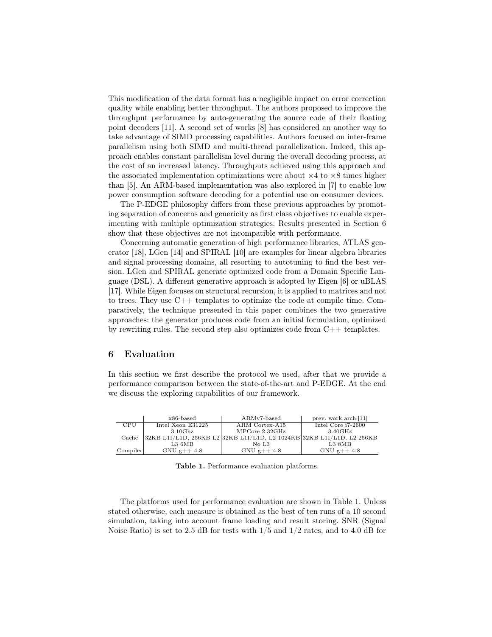This modification of the data format has a negligible impact on error correction quality while enabling better throughput. The authors proposed to improve the throughput performance by auto-generating the source code of their floating point decoders [11]. A second set of works [8] has considered an another way to take advantage of SIMD processing capabilities. Authors focused on inter-frame parallelism using both SIMD and multi-thread parallelization. Indeed, this approach enables constant parallelism level during the overall decoding process, at the cost of an increased latency. Throughputs achieved using this approach and the associated implementation optimizations were about  $\times$ 4 to  $\times$ 8 times higher than [5]. An ARM-based implementation was also explored in [7] to enable low power consumption software decoding for a potential use on consumer devices.

The P-EDGE philosophy differs from these previous approaches by promoting separation of concerns and genericity as first class objectives to enable experimenting with multiple optimization strategies. Results presented in Section 6 show that these objectives are not incompatible with performance.

Concerning automatic generation of high performance libraries, ATLAS generator [18], LGen [14] and SPIRAL [10] are examples for linear algebra libraries and signal processing domains, all resorting to autotuning to find the best version. LGen and SPIRAL generate optimized code from a Domain Specific Language (DSL). A different generative approach is adopted by Eigen [6] or uBLAS [17]. While Eigen focuses on structural recursion, it is applied to matrices and not to trees. They use  $C_{++}$  templates to optimize the code at compile time. Comparatively, the technique presented in this paper combines the two generative approaches: the generator produces code from an initial formulation, optimized by rewriting rules. The second step also optimizes code from  $C++$  templates.

### 6 Evaluation

In this section we first describe the protocol we used, after that we provide a performance comparison between the state-of-the-art and P-EDGE. At the end we discuss the exploring capabilities of our framework.

|            | x86-based         | $ARMv7$ -based                                                           | prev. work arch.[11] |
|------------|-------------------|--------------------------------------------------------------------------|----------------------|
| <b>CPU</b> | Intel Xeon E31225 | ARM Cortex-A15                                                           | Intel Core i7-2600   |
|            | $3.10G$ hz        | $MPC$ ore $2.32\text{GHz}$                                               | $3.40 \text{GHz}$    |
| Cache      |                   | $ 32KB L11/L1D, 256KB L2 32KB L11/L1D, L2 1024KB 32KB L11/L1D, L2 256KB$ |                      |
|            | L36MB             | No L3                                                                    | L3 8MB               |
| Compiler   | $GNU g++4.8$      | $GNU g++4.8$                                                             | $GNU g++4.8$         |

Table 1. Performance evaluation platforms.

The platforms used for performance evaluation are shown in Table 1. Unless stated otherwise, each measure is obtained as the best of ten runs of a 10 second simulation, taking into account frame loading and result storing. SNR (Signal Noise Ratio) is set to 2.5 dB for tests with  $1/5$  and  $1/2$  rates, and to 4.0 dB for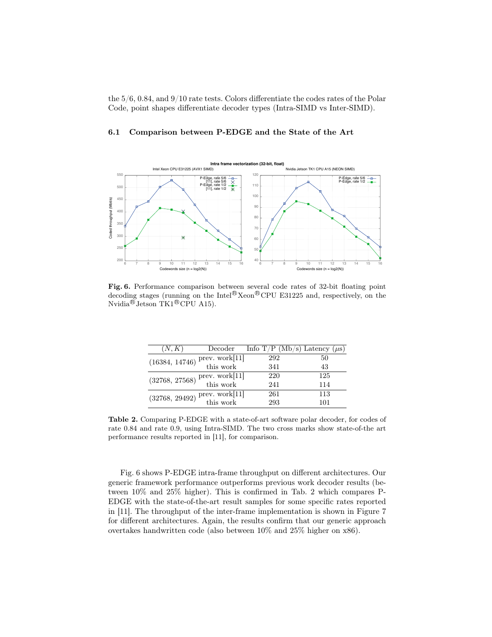the  $5/6$ , 0.84, and  $9/10$  rate tests. Colors differentiate the codes rates of the Polar Code, point shapes differentiate decoder types (Intra-SIMD vs Inter-SIMD).

#### Comparison between P-EDGE and the State of the Art  $6.1$



Fig. 6. Performance comparison between several code rates of 32-bit floating point decoding stages (running on the Intel $^{\circledR}$ Xeon $^{\circledR}$ CPU E31225 and, respectively, on the Nvidia<sup>®</sup> Jetson TK1<sup>®</sup> CPU A15).

| (N, K)                          | Decoder                | Info T/P (Mb/s) Latency $(\mu s)$ |     |
|---------------------------------|------------------------|-----------------------------------|-----|
| (16384, 14746)                  | prev. work $\sqrt{11}$ | 292                               | 50  |
|                                 | this work              | 341                               | 43  |
| $(32768, 27568)$ prev. work[11] |                        | 220                               | 125 |
|                                 | this work              | 241                               | 114 |
| $(32768, 29492)$ prev. work[11] |                        | 261                               | 113 |
|                                 | this work              | 293                               | 101 |

Table 2. Comparing P-EDGE with a state-of-art software polar decoder, for codes of rate 0.84 and rate 0.9, using Intra-SIMD. The two cross marks show state-of-the art performance results reported in [11], for comparison.

Fig. 6 shows P-EDGE intra-frame throughput on different architectures. Our generic framework performance outperforms previous work decoder results (between  $10\%$  and  $25\%$  higher). This is confirmed in Tab. 2 which compares P-EDGE with the state-of-the-art result samples for some specific rates reported in [11]. The throughput of the inter-frame implementation is shown in Figure  $7$ for different architectures. Again, the results confirm that our generic approach overtakes handwritten code (also between  $10\%$  and  $25\%$  higher on  $x86$ ).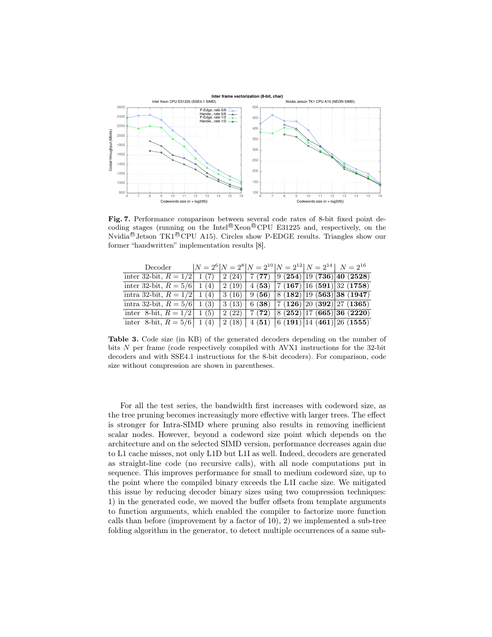

Fig. 7. Performance comparison between several code rates of 8-bit fixed point decoding stages (running on the Intel<sup>®</sup>Xeon<sup>®</sup>CPU E31225 and, respectively, on the Nvidia<sup>®</sup>Jetson TK1<sup>®</sup>CPU A15). Circles show P-EDGE results. Triangles show our former "handwritten" implementation results [8].

| Decoder                                                                                                                                                         |  |  | $ N = 2^6 N = 2^8 N = 2^{10} N = 2^{12} N = 2^{14} N = 2^{16}$ |
|-----------------------------------------------------------------------------------------------------------------------------------------------------------------|--|--|----------------------------------------------------------------|
| inter 32-bit, $R = 1/2$   1 (7)   2 (24)   7 (77)   9 (254)   19 (736)   40 (2528)                                                                              |  |  |                                                                |
| inter 32-bit, $R = 5/6$   1 (4)   2 (19)   4 (53)   7 (167)   16 (591)   32 (1758)                                                                              |  |  |                                                                |
| intra 32-bit, $R = 1/2$   1 (4)   3 (16)   9 (56)   8 (182)   19 (563)   38 (1947)                                                                              |  |  |                                                                |
| intra 32-bit, $R = 5/6$   1 (3)   3 (13)   6 (38)   7 (126)   20 (392)   27 (1365)                                                                              |  |  |                                                                |
| inter 8-bit, $R = 1/2 \begin{pmatrix} 1 & 5 \end{pmatrix} \begin{pmatrix} 2 & 22 \end{pmatrix} \begin{pmatrix} 7 & 72 \end{pmatrix}$ 8 (252) 17 (665) 36 (2220) |  |  |                                                                |
| inter 8-bit, $R = 5/6$   1 (4)   2 (18)   4 (51)   6 (191)   14 (461)   26 (1555)                                                                               |  |  |                                                                |

**Table 3.** Code size (in KB) of the generated decoders depending on the number of bits  $N$  per frame (code respectively compiled with AVX1 instructions for the 32-bit decoders and with SSE4.1 instructions for the 8-bit decoders). For comparison, code size without compression are shown in parentheses.

For all the test series, the bandwidth first increases with codeword size, as the tree pruning becomes increasingly more effective with larger trees. The effect is stronger for Intra-SIMD where pruning also results in removing inefficient scalar nodes. However, beyond a codeword size point which depends on the architecture and on the selected SIMD version, performance decreases again due to L1 cache misses, not only L1D but L1I as well. Indeed, decoders are generated as straight-line code (no recursive calls), with all node computations put in sequence. This improves performance for small to medium codeword size, up to the point where the compiled binary exceeds the L1I cache size. We mitigated this issue by reducing decoder binary sizes using two compression techniques: 1) in the generated code, we moved the buffer offsets from template arguments to function arguments, which enabled the compiler to factorize more function calls than before (improvement by a factor of  $10$ ), 2) we implemented a sub-tree folding algorithm in the generator, to detect multiple occurrences of a same sub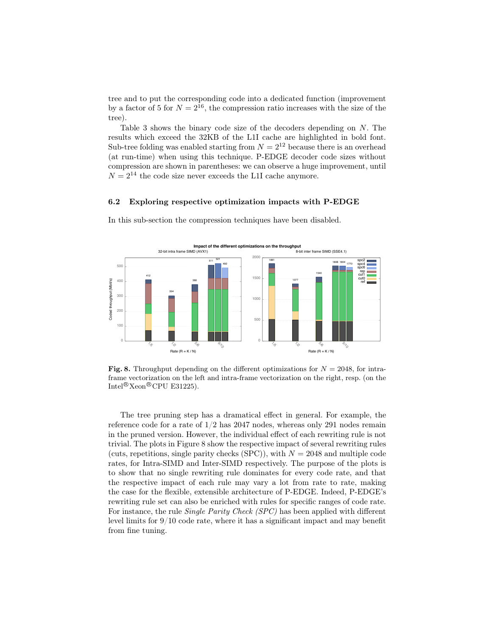tree and to put the corresponding code into a dedicated function (improvement by a factor of 5 for  $N = 2^{16}$ , the compression ratio increases with the size of the tree).

Table 3 shows the binary code size of the decoders depending on  $N$ . The results which exceed the 32KB of the L1I cache are highlighted in bold font. Sub-tree folding was enabled starting from  $N = 2^{12}$  because there is an overhead (at run-time) when using this technique. P-EDGE decoder code sizes without compression are shown in parentheses: we can observe a huge improvement, until  $N = 2^{14}$  the code size never exceeds the L1I cache anymore.

#### Exploring respective optimization impacts with P-EDGE 6.2



In this sub-section the compression techniques have been disabled.

Fig. 8. Throughput depending on the different optimizations for  $N = 2048$ , for intraframe vectorization on the left and intra-frame vectorization on the right, resp. (on the Intel<sup>®</sup>Xeon<sup>®</sup>CPU E31225).

The tree pruning step has a dramatical effect in general. For example, the reference code for a rate of  $1/2$  has 2047 nodes, whereas only 291 nodes remain in the pruned version. However, the individual effect of each rewriting rule is not trivial. The plots in Figure 8 show the respective impact of several rewriting rules (cuts, repetitions, single parity checks (SPC)), with  $N = 2048$  and multiple code rates, for Intra-SIMD and Inter-SIMD respectively. The purpose of the plots is to show that no single rewriting rule dominates for every code rate, and that the respective impact of each rule may vary a lot from rate to rate, making the case for the flexible, extensible architecture of P-EDGE. Indeed, P-EDGE's rewriting rule set can also be enriched with rules for specific ranges of code rate. For instance, the rule *Single Parity Check (SPC)* has been applied with different level limits for  $9/10$  code rate, where it has a significant impact and may benefit from fine tuning.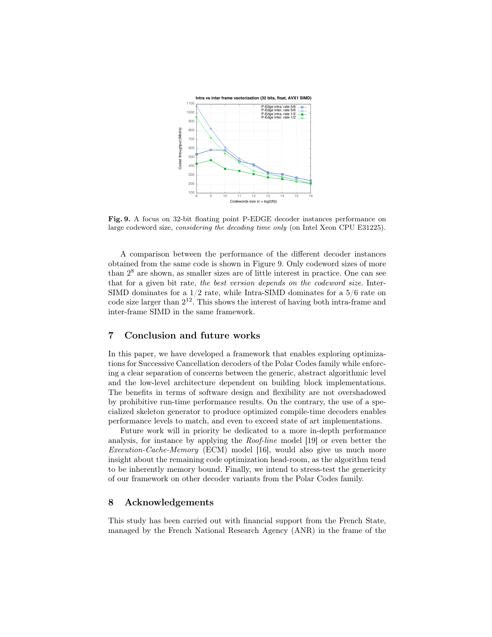

Fig. 9. A focus on 32-bit floating point P-EDGE decoder instances performance on large codeword size, *considering the decoding time only* (on Intel Xeon CPU E31225).

A comparison between the performance of the different decoder instances obtained from the same code is shown in Figure 9. Only codeword sizes of more than  $2^8$  are shown, as smaller sizes are of little interest in practice. One can see that for a given bit rate, the best version depends on the codeword size. Inter-SIMD dominates for a  $1/2$  rate, while Intra-SIMD dominates for a  $5/6$  rate on code size larger than  $2^{12}$ . This shows the interest of having both intra-frame and inter-frame SIMD in the same framework.

#### $\overline{7}$ Conclusion and future works

In this paper, we have developed a framework that enables exploring optimizations for Successive Cancellation decoders of the Polar Codes family while enforcing a clear separation of concerns between the generic, abstract algorithmic level and the low-level architecture dependent on building block implementations. The benefits in terms of software design and flexibility are not overshadowed by prohibitive run-time performance results. On the contrary, the use of a specialized skeleton generator to produce optimized compile-time decoders enables performance levels to match, and even to exceed state of art implementations.

Future work will in priority be dedicated to a more in-depth performance analysis, for instance by applying the *Roof-line* model [19] or even better the *Execution-Cache-Memory* (ECM) model [16], would also give us much more insight about the remaining code optimization head-room, as the algorithm tend to be inherently memory bound. Finally, we intend to stress-test the genericity of our framework on other decoder variants from the Polar Codes family.

#### 8 Acknowledgements

This study has been carried out with financial support from the French State, managed by the French National Research Agency (ANR) in the frame of the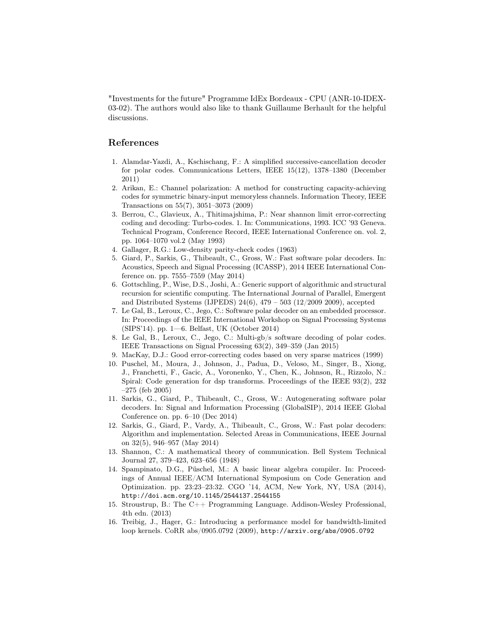"Investments for the future" Programme IdEx Bordeaux - CPU (ANR-10-IDEX-03-02). The authors would also like to thank Guillaume Berhault for the helpful discussions.

### References

- 1. Alamdar-Yazdi, A., Kschischang, F.: A simplified successive-cancellation decoder for polar codes. Communications Letters, IEEE 15(12), 1378–1380 (December 2011)
- 2. Arikan, E.: Channel polarization: A method for constructing capacity-achieving codes for symmetric binary-input memoryless channels. Information Theory, IEEE Transactions on 55(7), 3051–3073 (2009)
- 3. Berrou, C., Glavieux, A., Thitimajshima, P.: Near shannon limit error-correcting coding and decoding: Turbo-codes. 1. In: Communications, 1993. ICC '93 Geneva. Technical Program, Conference Record, IEEE International Conference on. vol. 2, pp. 1064–1070 vol.2 (May 1993)
- 4. Gallager, R.G.: Low-density parity-check codes (1963)
- 5. Giard, P., Sarkis, G., Thibeault, C., Gross, W.: Fast software polar decoders. In: Acoustics, Speech and Signal Processing (ICASSP), 2014 IEEE International Conference on. pp. 7555–7559 (May 2014)
- 6. Gottschling, P., Wise, D.S., Joshi, A.: Generic support of algorithmic and structural recursion for scientific computing. The International Journal of Parallel, Emergent and Distributed Systems (IJPEDS) 24(6), 479 – 503 (12/2009 2009), accepted
- 7. Le Gal, B., Leroux, C., Jego, C.: Software polar decoder on an embedded processor. In: Proceedings of the IEEE International Workshop on Signal Processing Systems (SIPS'14). pp. 1—6. Belfast, UK (October 2014)
- 8. Le Gal, B., Leroux, C., Jego, C.: Multi-gb/s software decoding of polar codes. IEEE Transactions on Signal Processing 63(2), 349–359 (Jan 2015)
- 9. MacKay, D.J.: Good error-correcting codes based on very sparse matrices (1999)
- 10. Puschel, M., Moura, J., Johnson, J., Padua, D., Veloso, M., Singer, B., Xiong, J., Franchetti, F., Gacic, A., Voronenko, Y., Chen, K., Johnson, R., Rizzolo, N.: Spiral: Code generation for dsp transforms. Proceedings of the IEEE 93(2), 232 –275 (feb 2005)
- 11. Sarkis, G., Giard, P., Thibeault, C., Gross, W.: Autogenerating software polar decoders. In: Signal and Information Processing (GlobalSIP), 2014 IEEE Global Conference on. pp. 6–10 (Dec 2014)
- 12. Sarkis, G., Giard, P., Vardy, A., Thibeault, C., Gross, W.: Fast polar decoders: Algorithm and implementation. Selected Areas in Communications, IEEE Journal on 32(5), 946–957 (May 2014)
- 13. Shannon, C.: A mathematical theory of communication. Bell System Technical Journal 27, 379–423, 623–656 (1948)
- 14. Spampinato, D.G., Püschel, M.: A basic linear algebra compiler. In: Proceedings of Annual IEEE/ACM International Symposium on Code Generation and Optimization. pp. 23:23–23:32. CGO '14, ACM, New York, NY, USA (2014), http://doi.acm.org/10.1145/2544137.2544155
- 15. Stroustrup, B.: The C++ Programming Language. Addison-Wesley Professional, 4th edn. (2013)
- 16. Treibig, J., Hager, G.: Introducing a performance model for bandwidth-limited loop kernels. CoRR abs/0905.0792 (2009), http://arxiv.org/abs/0905.0792